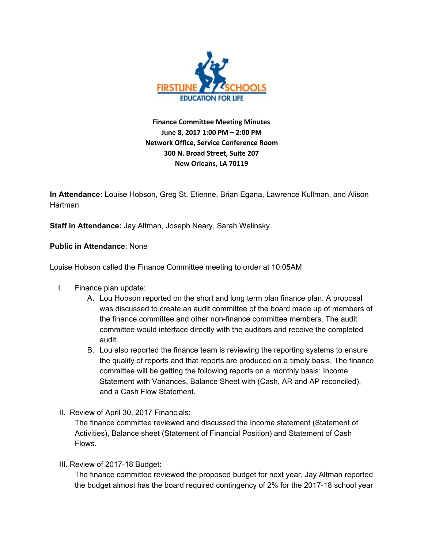

**Finance Committee Meeting Minutes June 8, 2017 1:00 PM – 2:00 PM Network Office, Service Conference Room 300 N. Broad Street, Suite 207 New Orleans, LA 70119**

**In Attendance:** Louise Hobson, Greg St. Etienne, Brian Egana, Lawrence Kullman, and Alison **Hartman** 

**Staff in Attendance:** Jay Altman, Joseph Neary, Sarah Welinsky

**Public in Attendance**: None

Louise Hobson called the Finance Committee meeting to order at 10:05AM

- I. Finance plan update:
	- A. Lou Hobson reported on the short and long term plan finance plan. A proposal was discussed to create an audit committee of the board made up of members of the finance committee and other non-finance committee members. The audit committee would interface directly with the auditors and receive the completed audit.
	- B. Lou also reported the finance team is reviewing the reporting systems to ensure the quality of reports and that reports are produced on a timely basis. The finance committee will be getting the following reports on a monthly basis: Income Statement with Variances, Balance Sheet with (Cash, AR and AP reconciled), and a Cash Flow Statement.
- II. Review of April 30, 2017 Financials:

The finance committee reviewed and discussed the Income statement (Statement of Activities), Balance sheet (Statement of Financial Position) and Statement of Cash Flows.

III. Review of 2017-18 Budget:

The finance committee reviewed the proposed budget for next year. Jay Altman reported the budget almost has the board required contingency of 2% for the 2017-18 school year